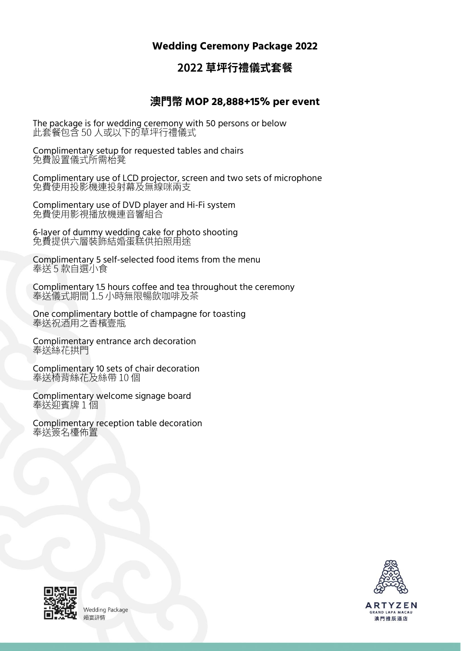### **Wedding Ceremony Package 2022**

## 2022 草坪行禮儀式套餐

#### **MOP 28,888+15% per event**

The package is for wedding ceremony with 50 persons or below<br>此套餐包含 50 人或以下的草坪行禮儀式

Complimentary setup for requested tables and chairs<br>免費設置儀式所需枱凳

Complimentary use of LCD projector, screen and two sets of microphone<br>免費使用投影機連投射幕及無線咪兩支

Complimentary use of DVD player and Hi-Fi system

6-layer of dummy wedding cake for photo shooting<br>免費提供六層裝飾結婚蛋糕供拍照用途

Complimentary 5 self-selected food items from the menu<br>奉送 5 款自選小食

Complimentary 1.5 hours coffee and tea throughout the ceremony<br>奉送儀式期間 1.5 小時無限暢飲咖啡及茶

One complimentary bottle of champagne for toasting

Complimentary entrance arch decoration<br>奉送絲花拱門

Complimentary 10 sets of chair decoration<br>奉送椅背絲花及絲帶 10 個

Complimentary welcome signage board

Complimentary reception table decoration



**ARTYZEN** GRAND LAPA MACAU 澳門雅辰酒店



**Wedding Package** 婚宴詳情